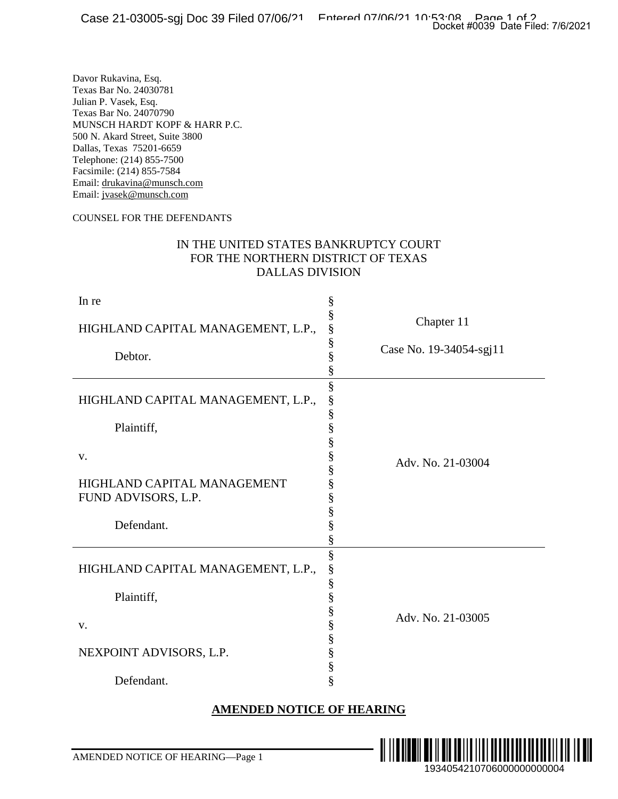#### COUNSEL FOR THE DEFENDANTS

#### IN THE UNITED STATES BANKRUPTCY COURT FOR THE NORTHERN DISTRICT OF TEXAS DALLAS DIVISION

| aoo == vovvo ogj<br>                                                                                                                                                                                                                                                                                                                                                                                                                                          | Docket #0039 Date Filed: 7/6/2021 |  |
|---------------------------------------------------------------------------------------------------------------------------------------------------------------------------------------------------------------------------------------------------------------------------------------------------------------------------------------------------------------------------------------------------------------------------------------------------------------|-----------------------------------|--|
| Davor Rukavina, Esq.<br>Texas Bar No. 24030781<br>Julian P. Vasek, Esq.<br>Texas Bar No. 24070790<br>MUNSCH HARDT KOPF & HARR P.C.<br>500 N. Akard Street, Suite 3800<br>Dallas, Texas 75201-6659<br>Telephone: (214) 855-7500<br>Facsimile: (214) 855-7584<br>Email: drukavina@munsch.com<br>Email: jvasek@munsch.com<br>COUNSEL FOR THE DEFENDANTS<br>IN THE UNITED STATES BANKRUPTCY COURT<br>FOR THE NORTHERN DISTRICT OF TEXAS<br><b>DALLAS DIVISION</b> |                                   |  |
| In re<br>§                                                                                                                                                                                                                                                                                                                                                                                                                                                    |                                   |  |
| §<br>HIGHLAND CAPITAL MANAGEMENT, L.P.,                                                                                                                                                                                                                                                                                                                                                                                                                       | Chapter 11                        |  |
| §<br>§<br>Debtor.<br>§                                                                                                                                                                                                                                                                                                                                                                                                                                        | Case No. 19-34054-sgj11           |  |
| §<br>HIGHLAND CAPITAL MANAGEMENT, L.P.,<br>§<br>§<br>Plaintiff,<br>§<br>§<br>v.<br>HIGHLAND CAPITAL MANAGEMENT<br>§<br>FUND ADVISORS, L.P.<br>§<br>Defendant.<br>§                                                                                                                                                                                                                                                                                            | Adv. No. 21-03004                 |  |
| §<br>§<br>HIGHLAND CAPITAL MANAGEMENT, L.P.,<br>§<br>§<br>Plaintiff,<br>§<br>V.<br>§<br>§<br>NEXPOINT ADVISORS, L.P.<br>§<br>§<br>Defendant.                                                                                                                                                                                                                                                                                                                  | Adv. No. 21-03005                 |  |
| <b>AMENDED NOTICE OF HEARING</b>                                                                                                                                                                                                                                                                                                                                                                                                                              |                                   |  |
|                                                                                                                                                                                                                                                                                                                                                                                                                                                               |                                   |  |
| AMENDED NOTICE OF HEARING-Page 1                                                                                                                                                                                                                                                                                                                                                                                                                              | IIII<br>1934054210706000000000004 |  |

## **AMENDED NOTICE OF HEARING**